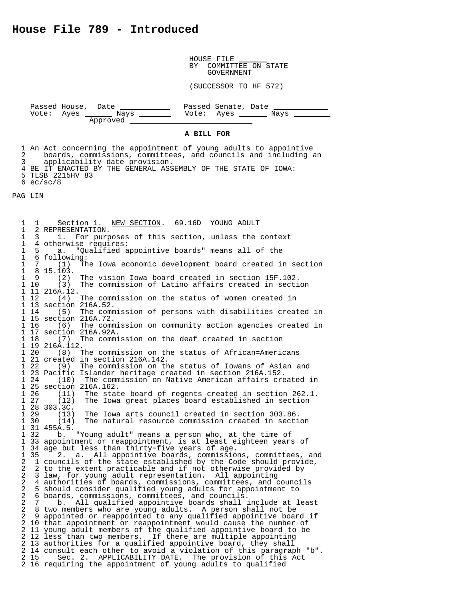HOUSE FILE BY COMMITTEE ON STATE GOVERNMENT

(SUCCESSOR TO HF 572)

Passed House, Date Passed Senate, Date Passed Senate, Date Passed Senate, Date Payes Payes Approved Payes Payes Approved Payes Payes Payes Payes Approved Payes Payes Payes Approved Payes Payes Payes Payes Approved Payes Pa

## **A BILL FOR**

 1 An Act concerning the appointment of young adults to appointive 2 boards, commissions, committees, and councils and including an applicability date provision. 4 BE IT ENACTED BY THE GENERAL ASSEMBLY OF THE STATE OF IOWA: 5 TLSB 2215HV 83  $6$  ec/sc/8

PAG LIN

1 1 Section 1. NEW SECTION. 69.16D YOUNG ADULT 1 2 REPRESENTATION. 1 3 1. For purposes of this section, unless the context<br>1 4 otherwise requires: 1 3 1. For purposes<br>1 4 otherwise requires:<br>1 5 a. "Qualified a 1 5 a. "Qualified appointive boards" means all of the 1 6 following:<br>1 7 (1) Th 1 7 (1) The Iowa economic development board created in section  $\begin{array}{cccc} 1 & 8 & 15.103. \\ 1 & 9 & (2) \end{array}$  1 9 (2) The vision Iowa board created in section 15F.102. 1 10 (3) The commission of Latino affairs created in section  $1 11 216A.12.$ <br> $1 12$  (4) (4) The commission on the status of women created in 1 13 section 216A.52.<br>1 14 (5) The comm The commission of persons with disabilities created in 1 15 section 216A.72.<br>1 16 (6) The comm 1 16 (6) The commission on community action agencies created in 1 17 section 216A.92A.<br>1 18 (7) The commi The commission on the deaf created in section 1 19 216A.112.<br>1 20 (8) T 1 20 (8) The commission on the status of African=Americans 1 21 created in section 216A.142. (9) The commission on the status of Iowans of Asian and 1 23 Pacific Islander heritage created in section 216A.152. 1 24 (10) The commission on Native American affairs created in 1 25 section 216A.162. 1 26 (11) The state board of regents created in section 262.1.<br>1 27 (12) The Iowa great places board established in section 1 27 (12) The Iowa great places board established in section 1 28 303.3C.<br>1 29 (13) 1 29 (13) The Iowa arts council created in section 303.86. 1 30 (14) The natural resource commission created in section 1 31 455A.5. 1 32 b. "Young adult" means a person who, at the time of 1 33 appointment or reappointment, is at least eighteen years of 1 34 age but less than thirty=five years of age.<br>1 35 2. a. All appointive boards, commissio 1 35 2. a. All appointive boards, commissions, committees, and<br>2 1 councils of the state established by the Code should provide, 2 1 councils of the state established by the Code should provide,<br>2 2 to the extent practicable and if not otherwise provided by 2 2 to the extent practicable and if not otherwise provided by<br>2 3 law, for young adult representation. All appointing 2 3 law, for young adult representation. All appointing 2 4 authorities of boards, commissions, committees, and councils 2 5 should consider qualified young adults for appointment to 2 6 boards, commissions, committees, and councils. 2 7 b. All qualified appointive boards shall include at least 2 8 two members who are young adults. A person shall not be 2 9 appointed or reappointed to any qualified appointive board if 2 10 that appointment or reappointment would cause the number of 2 11 young adult members of the qualified appointive board to be<br>2 12 less than two members. If there are multiple appointing 2 12 less than two members. If there are multiple appointing<br>2 13 authorities for a qualified appointive board, they shall 13 authorities for a qualified appointive board, they shall 2 14 consult each other to avoid a violation of this paragraph "b".<br>2 15 Sec. 2. APPLICABILITY DATE. The provision of this Act Sec. 2. APPLICABILITY DATE. The provision of this Act 2 16 requiring the appointment of young adults to qualified